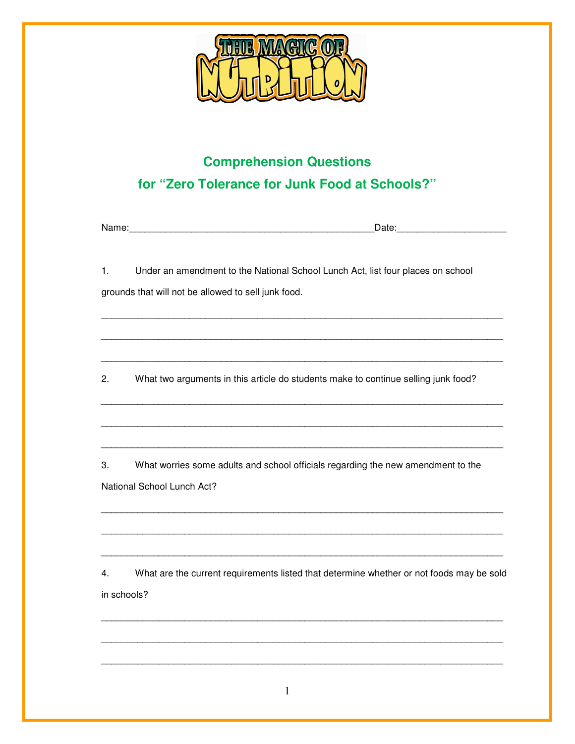

## **Comprehension Questions** for "Zero Tolerance for Junk Food at Schools?"

| Nan<br>72 I F<br><br>--- |
|--------------------------|
|--------------------------|

Under an amendment to the National School Lunch Act, list four places on school  $1<sub>1</sub>$ grounds that will not be allowed to sell junk food.

What two arguments in this article do students make to continue selling junk food?  $2.$ 

3. What worries some adults and school officials regarding the new amendment to the National School Lunch Act?

What are the current requirements listed that determine whether or not foods may be sold  $4.$ in schools?